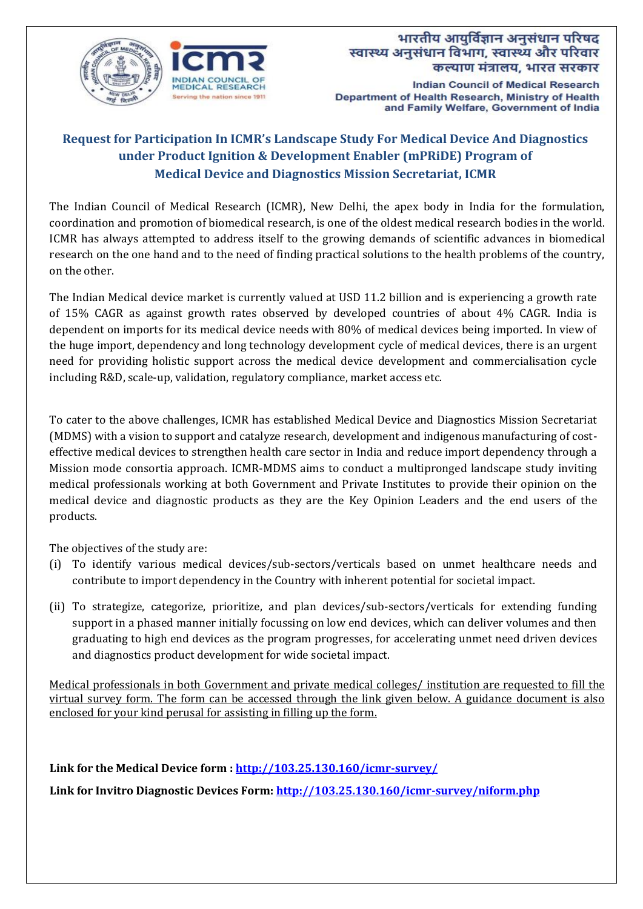

**Indian Council of Medical Research** Department of Health Research, Ministry of Health and Family Welfare, Government of India

# **Request for Participation In ICMR's Landscape Study For Medical Device And Diagnostics under Product Ignition & Development Enabler (mPRiDE) Program of Medical Device and Diagnostics Mission Secretariat, ICMR**

The Indian Council of Medical Research (ICMR), New Delhi, the apex body in India for the formulation, coordination and promotion of biomedical research, is one of the oldest medical research bodies in the world. ICMR has always attempted to address itself to the growing demands of scientific advances in biomedical research on the one hand and to the need of finding practical solutions to the health problems of the country, on the other.

The Indian Medical device market is currently valued at USD 11.2 billion and is experiencing a growth rate of 15% CAGR as against growth rates observed by developed countries of about 4% CAGR. India is dependent on imports for its medical device needs with 80% of medical devices being imported. In view of the huge import, dependency and long technology development cycle of medical devices, there is an urgent need for providing holistic support across the medical device development and commercialisation cycle including R&D, scale-up, validation, regulatory compliance, market access etc.

To cater to the above challenges, ICMR has established Medical Device and Diagnostics Mission Secretariat (MDMS) with a vision to support and catalyze research, development and indigenous manufacturing of costeffective medical devices to strengthen health care sector in India and reduce import dependency through a Mission mode consortia approach. ICMR-MDMS aims to conduct a multipronged landscape study inviting medical professionals working at both Government and Private Institutes to provide their opinion on the medical device and diagnostic products as they are the Key Opinion Leaders and the end users of the products.

The objectives of the study are:

- (i) To identify various medical devices/sub-sectors/verticals based on unmet healthcare needs and contribute to import dependency in the Country with inherent potential for societal impact.
- (ii) To strategize, categorize, prioritize, and plan devices/sub-sectors/verticals for extending funding support in a phased manner initially focussing on low end devices, which can deliver volumes and then graduating to high end devices as the program progresses, for accelerating unmet need driven devices and diagnostics product development for wide societal impact.

Medical professionals in both Government and private medical colleges/ institution are requested to fill the virtual survey form. The form can be accessed through the link given below. A guidance document is also enclosed for your kind perusal for assisting in filling up the form.

**Link for the Medical Device form :<http://103.25.130.160/icmr-survey/> Link for Invitro Diagnostic Devices Form: <http://103.25.130.160/icmr-survey/niform.php>**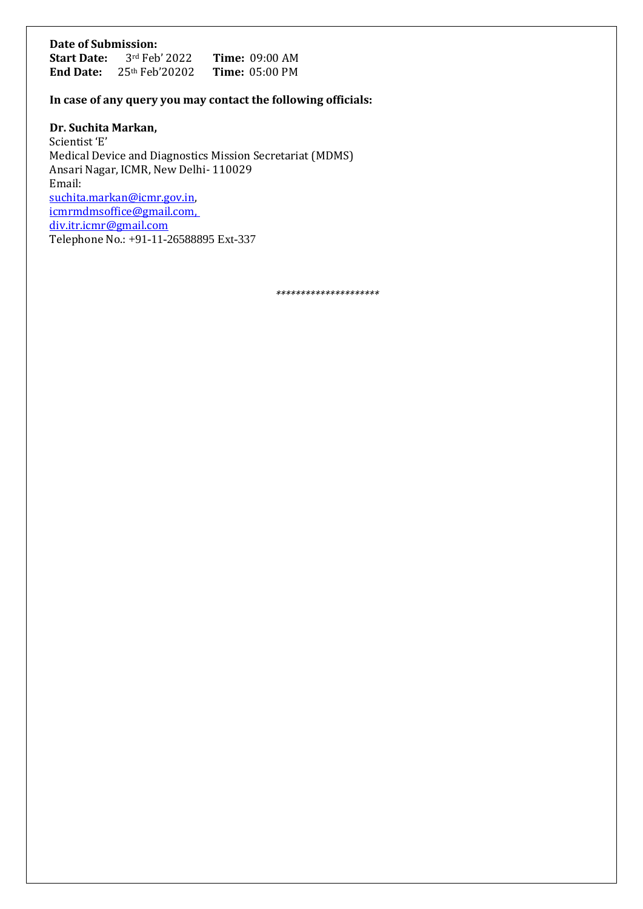# **Date of Submission:**

| <b>Start Date:</b> | $3rd$ Feb' 2022  | <b>Time: 09:00 AM</b>           |  |
|--------------------|------------------|---------------------------------|--|
| <b>End Date:</b>   | $25th$ Feb'20202 | <b>Time:</b> $05:00 \text{ PM}$ |  |

### **In case of any query you may contact the following officials:**

**Dr. Suchita Markan,** 

Scientist 'E' Medical Device and Diagnostics Mission Secretariat (MDMS) Ansari Nagar, ICMR, New Delhi- 110029 Email: [suchita.markan@icmr.gov.in,](mailto:suchita.markan@icmr.gov.in)  [icmrmdmsoffice@gmail.com,](mailto:icmrmdmsoffice@gmail.com)  div.itr.icmr@gmail.com Telephone No.: +91-11-26588895 Ext-337

*\*\*\*\*\*\*\*\*\*\*\*\*\*\*\*\*\*\*\*\*\**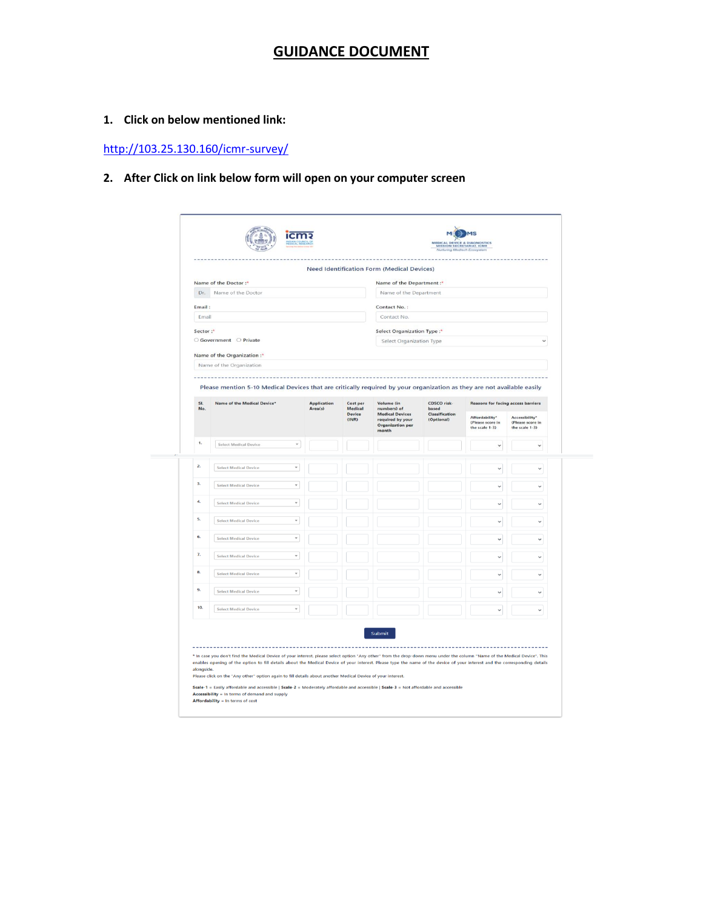## **GUIDANCE DOCUMENT**

#### **1. Click on below mentioned link:**

<http://103.25.130.160/icmr-survey/>

### **2. After Click on link below form will open on your computer screen**

|                           |                                                                                                                                                                            |                    |                                               | <b>Need Identification Form (Medical Devices)</b>                                                           |                                                      |                                                      |                                                      |  |
|---------------------------|----------------------------------------------------------------------------------------------------------------------------------------------------------------------------|--------------------|-----------------------------------------------|-------------------------------------------------------------------------------------------------------------|------------------------------------------------------|------------------------------------------------------|------------------------------------------------------|--|
|                           | Name of the Doctor:"                                                                                                                                                       |                    |                                               | Name of the Department:*                                                                                    |                                                      |                                                      |                                                      |  |
| Name of the Doctor<br>Dr. |                                                                                                                                                                            |                    |                                               | Name of the Department                                                                                      |                                                      |                                                      |                                                      |  |
| Email:                    |                                                                                                                                                                            |                    |                                               | Contact No.:                                                                                                |                                                      |                                                      |                                                      |  |
| Email                     |                                                                                                                                                                            |                    |                                               | Contact No.                                                                                                 |                                                      |                                                      |                                                      |  |
| Sector:"                  |                                                                                                                                                                            |                    |                                               | Select Organization Type:*                                                                                  |                                                      |                                                      |                                                      |  |
|                           | ○ Government ○ Private                                                                                                                                                     |                    |                                               | Select Organization Type                                                                                    |                                                      |                                                      |                                                      |  |
|                           | Name of the Organization:*                                                                                                                                                 |                    |                                               |                                                                                                             |                                                      |                                                      |                                                      |  |
|                           | Name of the Organization                                                                                                                                                   |                    |                                               |                                                                                                             |                                                      |                                                      |                                                      |  |
|                           | Please mention 5-10 Medical Devices that are critically required by your organization as they are not available easily                                                     |                    |                                               |                                                                                                             |                                                      |                                                      |                                                      |  |
| SI.<br>No.                | Name of the Medical Device*                                                                                                                                                | <b>Application</b> | Cost per<br>Medical<br><b>Device</b><br>(INR) | Volume (in<br>numbers) of<br><b>Medical Devices</b><br>required by your<br><b>Organization per</b><br>month | CDSCO risk-<br>based<br>Classification<br>(Optional) | <b>Reasons for facing access barriers</b>            |                                                      |  |
|                           |                                                                                                                                                                            | Area(s)            |                                               |                                                                                                             |                                                      | Affordability*<br>(Please score in<br>the scale 1-3) | Accessibility*<br>(Please score in<br>the scale 1-3) |  |
| 1.                        | <b>Select Medical Device</b><br>$\mathbf{v}$                                                                                                                               |                    |                                               |                                                                                                             |                                                      | $\checkmark$                                         | $\checkmark$                                         |  |
|                           |                                                                                                                                                                            |                    |                                               |                                                                                                             |                                                      |                                                      |                                                      |  |
| 2.                        | $\mathbf{v}$<br><b>Select Medical Device</b>                                                                                                                               |                    |                                               |                                                                                                             |                                                      | $\checkmark$                                         | $\checkmark$                                         |  |
| 3.                        | <b>Select Medical Device</b>                                                                                                                                               |                    |                                               |                                                                                                             |                                                      |                                                      |                                                      |  |
|                           |                                                                                                                                                                            |                    |                                               |                                                                                                             |                                                      |                                                      |                                                      |  |
| 4,                        | <b>Select Medical Device</b><br>$\mathbf{v}$                                                                                                                               |                    |                                               |                                                                                                             |                                                      | $\checkmark$                                         | $\checkmark$                                         |  |
| 5.                        | $\;$<br><b>Select Medical Device</b>                                                                                                                                       |                    |                                               |                                                                                                             |                                                      | $\checkmark$                                         | $\checkmark$                                         |  |
| 6.                        | <b>Select Medical Device</b><br>$\psi$                                                                                                                                     |                    |                                               |                                                                                                             |                                                      | $\checkmark$                                         |                                                      |  |
| 7.                        |                                                                                                                                                                            |                    |                                               |                                                                                                             |                                                      |                                                      |                                                      |  |
|                           | <b>Select Medical Device</b><br>$\overline{\phantom{a}}$                                                                                                                   |                    |                                               |                                                                                                             |                                                      | $\checkmark$                                         | $\checkmark$                                         |  |
| 8.                        | <b>Select Medical Device</b><br>$\;$                                                                                                                                       |                    |                                               |                                                                                                             |                                                      |                                                      | $\checkmark$                                         |  |
| 9.                        | <b>Select Medical Device</b><br>$\mathbf{v}$                                                                                                                               |                    |                                               |                                                                                                             |                                                      | $\ddot{\phantom{0}}$                                 | $\ddot{}$                                            |  |
| 10.                       | <b>Select Medical Device</b><br>$\overline{\phantom{a}}$                                                                                                                   |                    |                                               |                                                                                                             |                                                      | $\checkmark$                                         | $\checkmark$                                         |  |
|                           |                                                                                                                                                                            |                    |                                               |                                                                                                             |                                                      |                                                      |                                                      |  |
|                           |                                                                                                                                                                            |                    |                                               | Submit                                                                                                      |                                                      |                                                      |                                                      |  |
|                           |                                                                                                                                                                            |                    |                                               |                                                                                                             |                                                      |                                                      |                                                      |  |
|                           | * In case you don't find the Medical Device of your interest, please select option "Any other" from the drop-down menu under the column "Name of the Medical Device". This |                    |                                               |                                                                                                             |                                                      |                                                      |                                                      |  |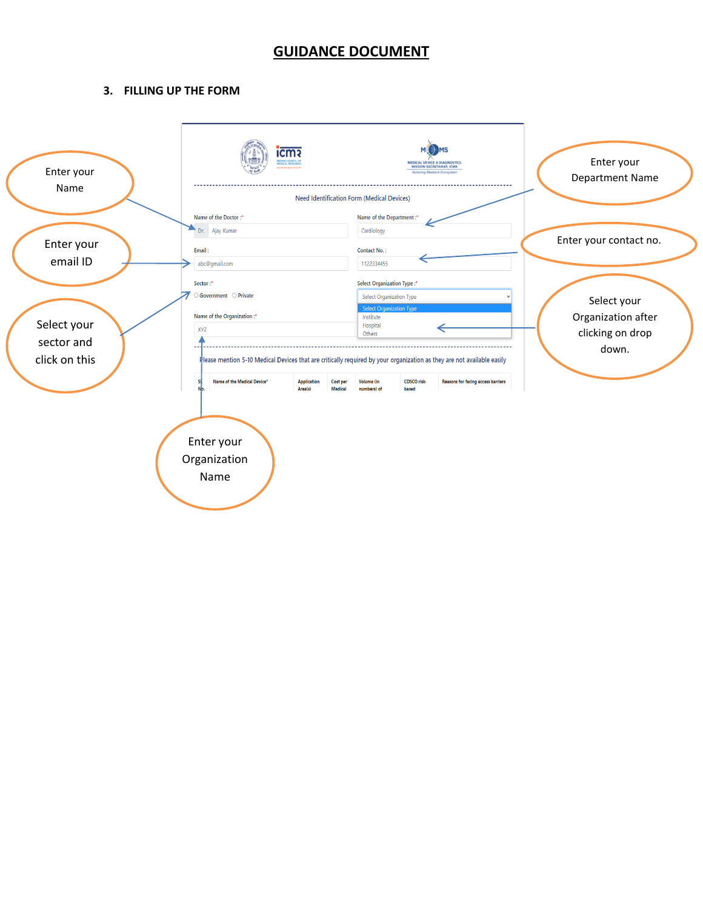### **GUIDANCE DOCUMENT**

#### **3. FILLING UP THE FORM**